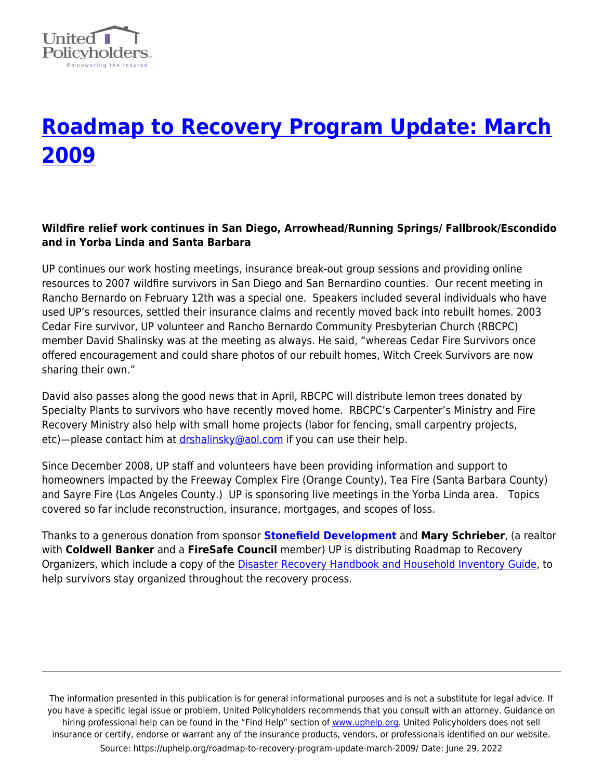

# **[Roadmap to Recovery Program Update: March](https://uphelp.org/roadmap-to-recovery-program-update-march-2009/) [2009](https://uphelp.org/roadmap-to-recovery-program-update-march-2009/)**

## **Wildfire relief work continues in San Diego, Arrowhead/Running Springs/ Fallbrook/Escondido and in Yorba Linda and Santa Barbara**

UP continues our work hosting meetings, insurance break-out group sessions and providing online resources to 2007 wildfire survivors in San Diego and San Bernardino counties. Our recent meeting in Rancho Bernardo on February 12th was a special one. Speakers included several individuals who have used UP's resources, settled their insurance claims and recently moved back into rebuilt homes. 2003 Cedar Fire survivor, UP volunteer and Rancho Bernardo Community Presbyterian Church (RBCPC) member David Shalinsky was at the meeting as always. He said, "whereas Cedar Fire Survivors once offered encouragement and could share photos of our rebuilt homes, Witch Creek Survivors are now sharing their own."

David also passes along the good news that in April, RBCPC will distribute lemon trees donated by Specialty Plants to survivors who have recently moved home. RBCPC's Carpenter's Ministry and Fire Recovery Ministry also help with small home projects (labor for fencing, small carpentry projects, etc)—please contact him at [drshalinsky@aol.com](mailto:drshalinsky@aol.com) if you can use their help.

Since December 2008, UP staff and volunteers have been providing information and support to homeowners impacted by the Freeway Complex Fire (Orange County), Tea Fire (Santa Barbara County) and Sayre Fire (Los Angeles County.) UP is sponsoring live meetings in the Yorba Linda area.Topics covered so far include reconstruction, insurance, mortgages, and scopes of loss.

Thanks to a generous donation from sponsor **[Stonefield Development](http://www.stonefielddevelopment.com/contact.html)** and **Mary Schrieber**, (a realtor with **Coldwell Banker** and a **FireSafe Council** member) UP is distributing Roadmap to Recovery Organizers, which include a copy of the [Disaster Recovery Handbook and Household Inventory Guide](https://uphelp.org/disaster-recovery-handbook/), to help survivors stay organized throughout the recovery process.

The information presented in this publication is for general informational purposes and is not a substitute for legal advice. If you have a specific legal issue or problem, United Policyholders recommends that you consult with an attorney. Guidance on hiring professional help can be found in the "Find Help" section of [www.uphelp.org.](http://www.uphelp.org/) United Policyholders does not sell insurance or certify, endorse or warrant any of the insurance products, vendors, or professionals identified on our website. Source: https://uphelp.org/roadmap-to-recovery-program-update-march-2009/ Date: June 29, 2022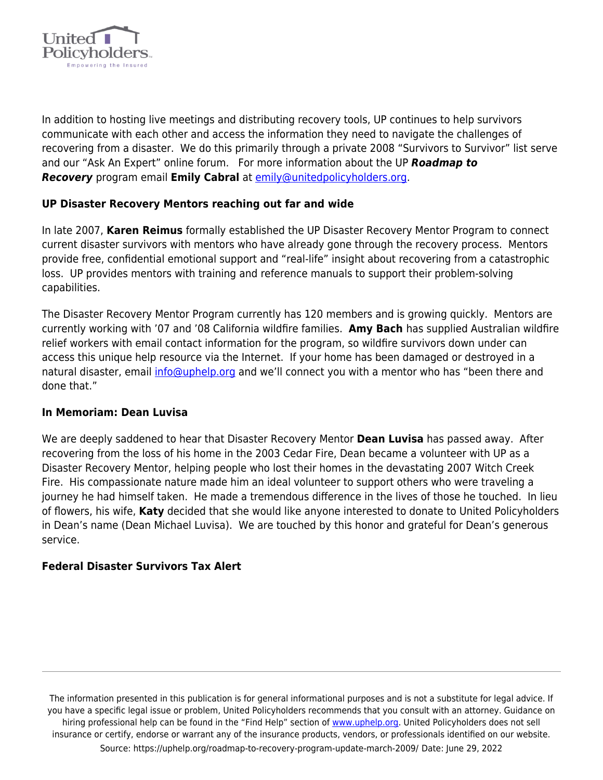

In addition to hosting live meetings and distributing recovery tools, UP continues to help survivors communicate with each other and access the information they need to navigate the challenges of recovering from a disaster. We do this primarily through a private 2008 "Survivors to Survivor" list serve and our "Ask An Expert" online forum. For more information about the UP *Roadmap to Recovery* program email **Emily Cabral** at [emily@unitedpolicyholders.org](mailto:emily@unitedpolicyholders.org).

### **UP Disaster Recovery Mentors reaching out far and wide**

In late 2007, **Karen Reimus** formally established the UP Disaster Recovery Mentor Program to connect current disaster survivors with mentors who have already gone through the recovery process. Mentors provide free, confidential emotional support and "real-life" insight about recovering from a catastrophic loss. UP provides mentors with training and reference manuals to support their problem-solving capabilities.

The Disaster Recovery Mentor Program currently has 120 members and is growing quickly. Mentors are currently working with '07 and '08 California wildfire families. **Amy Bach** has supplied Australian wildfire relief workers with email contact information for the program, so wildfire survivors down under can access this unique help resource via the Internet. If your home has been damaged or destroyed in a natural disaster, email *info@uphelp.org* and we'll connect you with a mentor who has "been there and done that."

#### **In Memoriam: Dean Luvisa**

We are deeply saddened to hear that Disaster Recovery Mentor **Dean Luvisa** has passed away. After recovering from the loss of his home in the 2003 Cedar Fire, Dean became a volunteer with UP as a Disaster Recovery Mentor, helping people who lost their homes in the devastating 2007 Witch Creek Fire. His compassionate nature made him an ideal volunteer to support others who were traveling a journey he had himself taken. He made a tremendous difference in the lives of those he touched. In lieu of flowers, his wife, **Katy** decided that she would like anyone interested to donate to United Policyholders in Dean's name (Dean Michael Luvisa). We are touched by this honor and grateful for Dean's generous service.

#### **Federal Disaster Survivors Tax Alert**

The information presented in this publication is for general informational purposes and is not a substitute for legal advice. If you have a specific legal issue or problem, United Policyholders recommends that you consult with an attorney. Guidance on hiring professional help can be found in the "Find Help" section of [www.uphelp.org.](http://www.uphelp.org/) United Policyholders does not sell insurance or certify, endorse or warrant any of the insurance products, vendors, or professionals identified on our website. Source: https://uphelp.org/roadmap-to-recovery-program-update-march-2009/ Date: June 29, 2022